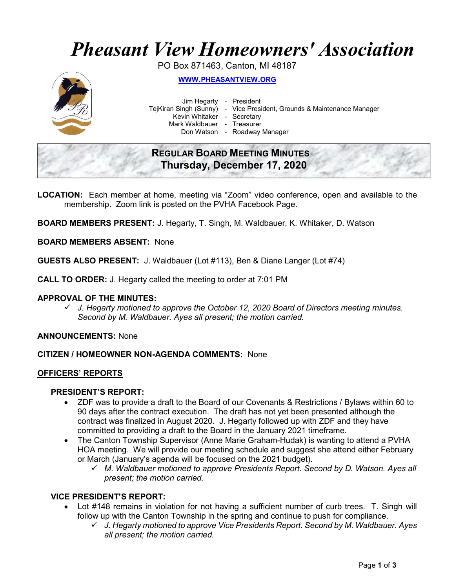# Pheasant View Homeowners' Association

PO Box 871463, Canton, MI 48187



WWW.PHEASANTVIEW.ORG

Jim Hegarty - President

TejKiran Singh (Sunny) - Vice President, Grounds & Maintenance Manager

Kevin Whitaker - Secretary

Mark Waldbauer - Treasurer

Don Watson - Roadway Manager

# REGULAR BOARD MEETING MINUTES Thursday, December 17, 2020

LOCATION: Each member at home, meeting via "Zoom" video conference, open and available to the membership. Zoom link is posted on the PVHA Facebook Page.

BOARD MEMBERS PRESENT: J. Hegarty, T. Singh, M. Waldbauer, K. Whitaker, D. Watson

### BOARD MEMBERS ABSENT: None

GUESTS ALSO PRESENT: J. Waldbauer (Lot #113), Ben & Diane Langer (Lot #74)

CALL TO ORDER: J. Hegarty called the meeting to order at 7:01 PM

#### APPROVAL OF THE MINUTES:

 $\checkmark$  J. Hegarty motioned to approve the October 12, 2020 Board of Directors meeting minutes. Second by M. Waldbauer. Ayes all present; the motion carried.

#### ANNOUNCEMENTS: None

#### CITIZEN / HOMEOWNER NON-AGENDA COMMENTS: None

#### OFFICERS' REPORTS

# PRESIDENT'S REPORT:

- ZDF was to provide a draft to the Board of our Covenants & Restrictions / Bylaws within 60 to 90 days after the contract execution. The draft has not yet been presented although the contract was finalized in August 2020. J. Hegarty followed up with ZDF and they have committed to providing a draft to the Board in the January 2021 timeframe.
- The Canton Township Supervisor (Anne Marie Graham-Hudak) is wanting to attend a PVHA HOA meeting. We will provide our meeting schedule and suggest she attend either February or March (January's agenda will be focused on the 2021 budget).
	- M. Waldbauer motioned to approve Presidents Report. Second by D. Watson. Ayes all present; the motion carried.

# VICE PRESIDENT'S REPORT:

- Lot #148 remains in violation for not having a sufficient number of curb trees. T. Singh will follow up with the Canton Township in the spring and continue to push for compliance.
	- $\checkmark$  J. Hegarty motioned to approve Vice Presidents Report. Second by M. Waldbauer. Ayes all present; the motion carried.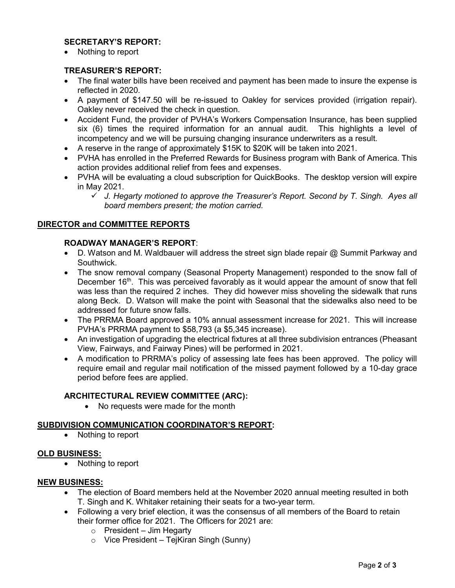# SECRETARY'S REPORT:

Nothing to report

# TREASURER'S REPORT:

- The final water bills have been received and payment has been made to insure the expense is reflected in 2020.
- A payment of \$147.50 will be re-issued to Oakley for services provided (irrigation repair). Oakley never received the check in question.
- Accident Fund, the provider of PVHA's Workers Compensation Insurance, has been supplied six (6) times the required information for an annual audit. This highlights a level of incompetency and we will be pursuing changing insurance underwriters as a result.
- A reserve in the range of approximately \$15K to \$20K will be taken into 2021.
- PVHA has enrolled in the Preferred Rewards for Business program with Bank of America. This action provides additional relief from fees and expenses.
- PVHA will be evaluating a cloud subscription for QuickBooks. The desktop version will expire in May 2021.
	- $\checkmark$  J. Hegarty motioned to approve the Treasurer's Report. Second by T. Singh. Ayes all board members present; the motion carried.

### DIRECTOR and COMMITTEE REPORTS

### ROADWAY MANAGER'S REPORT:

- D. Watson and M. Waldbauer will address the street sign blade repair @ Summit Parkway and Southwick.
- The snow removal company (Seasonal Property Management) responded to the snow fall of December  $16<sup>th</sup>$ . This was perceived favorably as it would appear the amount of snow that fell was less than the required 2 inches. They did however miss shoveling the sidewalk that runs along Beck. D. Watson will make the point with Seasonal that the sidewalks also need to be addressed for future snow falls.
- The PRRMA Board approved a 10% annual assessment increase for 2021. This will increase PVHA's PRRMA payment to \$58,793 (a \$5,345 increase).
- An investigation of upgrading the electrical fixtures at all three subdivision entrances (Pheasant View, Fairways, and Fairway Pines) will be performed in 2021.
- A modification to PRRMA's policy of assessing late fees has been approved. The policy will require email and regular mail notification of the missed payment followed by a 10-day grace period before fees are applied.

# ARCHITECTURAL REVIEW COMMITTEE (ARC):

• No requests were made for the month

#### SUBDIVISION COMMUNICATION COORDINATOR'S REPORT:

• Nothing to report

#### OLD BUSINESS:

• Nothing to report

#### NEW BUSINESS:

- The election of Board members held at the November 2020 annual meeting resulted in both T. Singh and K. Whitaker retaining their seats for a two-year term.
- Following a very brief election, it was the consensus of all members of the Board to retain their former office for 2021. The Officers for 2021 are:
	- $\circ$  President Jim Hegarty
	- $\circ$  Vice President TejKiran Singh (Sunny)